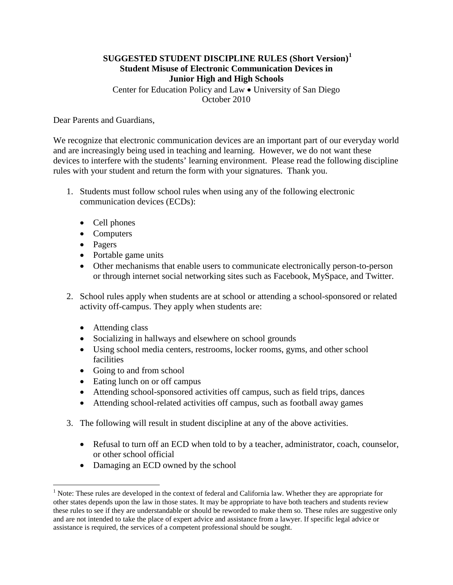## **SUGGESTED STUDENT DISCIPLINE RULES (Short Version)[1](#page-0-0) Student Misuse of Electronic Communication Devices in Junior High and High Schools**

Center for Education Policy and Law • University of San Diego October 2010

Dear Parents and Guardians,

We recognize that electronic communication devices are an important part of our everyday world and are increasingly being used in teaching and learning. However, we do not want these devices to interfere with the students' learning environment. Please read the following discipline rules with your student and return the form with your signatures. Thank you.

- 1. Students must follow school rules when using any of the following electronic communication devices (ECDs):
	- Cell phones
	- Computers
	- Pagers
	- Portable game units
	- Other mechanisms that enable users to communicate electronically person-to-person or through internet social networking sites such as Facebook, MySpace, and Twitter.
- 2. School rules apply when students are at school or attending a school-sponsored or related activity off-campus. They apply when students are:
	- Attending class
	- Socializing in hallways and elsewhere on school grounds
	- Using school media centers, restrooms, locker rooms, gyms, and other school facilities
	- Going to and from school
	- Eating lunch on or off campus
	- Attending school-sponsored activities off campus, such as field trips, dances
	- Attending school-related activities off campus, such as football away games
- 3. The following will result in student discipline at any of the above activities.
	- Refusal to turn off an ECD when told to by a teacher, administrator, coach, counselor, or other school official
	- Damaging an ECD owned by the school

<span id="page-0-0"></span><sup>&</sup>lt;sup>1</sup> Note: These rules are developed in the context of federal and California law. Whether they are appropriate for other states depends upon the law in those states. It may be appropriate to have both teachers and students review these rules to see if they are understandable or should be reworded to make them so. These rules are suggestive only and are not intended to take the place of expert advice and assistance from a lawyer. If specific legal advice or assistance is required, the services of a competent professional should be sought.